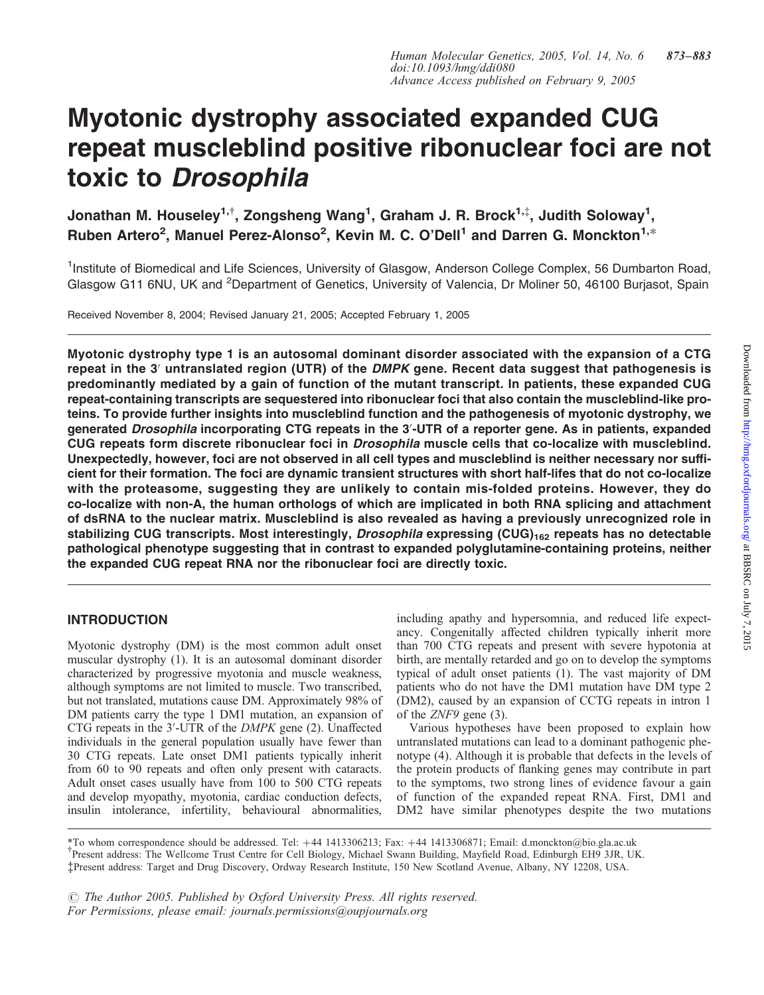# Myotonic dystrophy associated expanded CUG repeat muscleblind positive ribonuclear foci are not toxic to Drosophila

Jonathan M. Houseley<sup>1,†</sup>, Zongsheng Wang<sup>1</sup>, Graham J. R. Brock<sup>1,‡</sup>, Judith Soloway<sup>1</sup>, Ruben Artero<sup>2</sup>, Manuel Perez-Alonso<sup>2</sup>, Kevin M. C. O'Dell<sup>1</sup> and Darren G. Monckton<sup>1,\*</sup>

<sup>1</sup>Institute of Biomedical and Life Sciences, University of Glasgow, Anderson College Complex, 56 Dumbarton Road, Glasgow G11 6NU, UK and <sup>2</sup>Department of Genetics, University of Valencia, Dr Moliner 50, 46100 Burjasot, Spain

Received November 8, 2004; Revised January 21, 2005; Accepted February 1, 2005

Myotonic dystrophy type 1 is an autosomal dominant disorder associated with the expansion of a CTG repeat in the 3' untranslated region (UTR) of the DMPK gene. Recent data suggest that pathogenesis is predominantly mediated by a gain of function of the mutant transcript. In patients, these expanded CUG repeat-containing transcripts are sequestered into ribonuclear foci that also contain the muscleblind-like proteins. To provide further insights into muscleblind function and the pathogenesis of myotonic dystrophy, we generated Drosophila incorporating CTG repeats in the 3'-UTR of a reporter gene. As in patients, expanded CUG repeats form discrete ribonuclear foci in Drosophila muscle cells that co-localize with muscleblind. Unexpectedly, however, foci are not observed in all cell types and muscleblind is neither necessary nor sufficient for their formation. The foci are dynamic transient structures with short half-lifes that do not co-localize with the proteasome, suggesting they are unlikely to contain mis-folded proteins. However, they do co-localize with non-A, the human orthologs of which are implicated in both RNA splicing and attachment of dsRNA to the nuclear matrix. Muscleblind is also revealed as having a previously unrecognized role in stabilizing CUG transcripts. Most interestingly, Drosophila expressing (CUG) $_{162}$  repeats has no detectable pathological phenotype suggesting that in contrast to expanded polyglutamine-containing proteins, neither the expanded CUG repeat RNA nor the ribonuclear foci are directly toxic.

# INTRODUCTION

Myotonic dystrophy (DM) is the most common adult onset muscular dystrophy (1). It is an autosomal dominant disorder characterized by progressive myotonia and muscle weakness, although symptoms are not limited to muscle. Two transcribed, but not translated, mutations cause DM. Approximately 98% of DM patients carry the type 1 DM1 mutation, an expansion of CTG repeats in the 3'-UTR of the DMPK gene (2). Unaffected individuals in the general population usually have fewer than 30 CTG repeats. Late onset DM1 patients typically inherit from 60 to 90 repeats and often only present with cataracts. Adult onset cases usually have from 100 to 500 CTG repeats and develop myopathy, myotonia, cardiac conduction defects, insulin intolerance, infertility, behavioural abnormalities,

including apathy and hypersomnia, and reduced life expectancy. Congenitally affected children typically inherit more than 700 CTG repeats and present with severe hypotonia at birth, are mentally retarded and go on to develop the symptoms typical of adult onset patients (1). The vast majority of DM patients who do not have the DM1 mutation have DM type 2 (DM2), caused by an expansion of CCTG repeats in intron 1 of the ZNF9 gene (3).

Various hypotheses have been proposed to explain how untranslated mutations can lead to a dominant pathogenic phenotype (4). Although it is probable that defects in the levels of the protein products of flanking genes may contribute in part to the symptoms, two strong lines of evidence favour a gain of function of the expanded repeat RNA. First, DM1 and DM2 have similar phenotypes despite the two mutations

{ Present address: The Wellcome Trust Centre for Cell Biology, Michael Swann Building, Mayfield Road, Edinburgh EH9 3JR, UK. ‡Present address: Target and Drug Discovery, Ordway Research Institute, 150 New Scotland Avenue, Albany, NY 12208, USA. \*To whom correspondence should be addressed. Tel: +44 1413306213; Fax: +44 1413306871; Email: d.monckton@bio.gla.ac.uk

*#* The Author 2005. Published by Oxford University Press. All rights reserved. For Permissions, please email: journals.permissions@oupjournals.org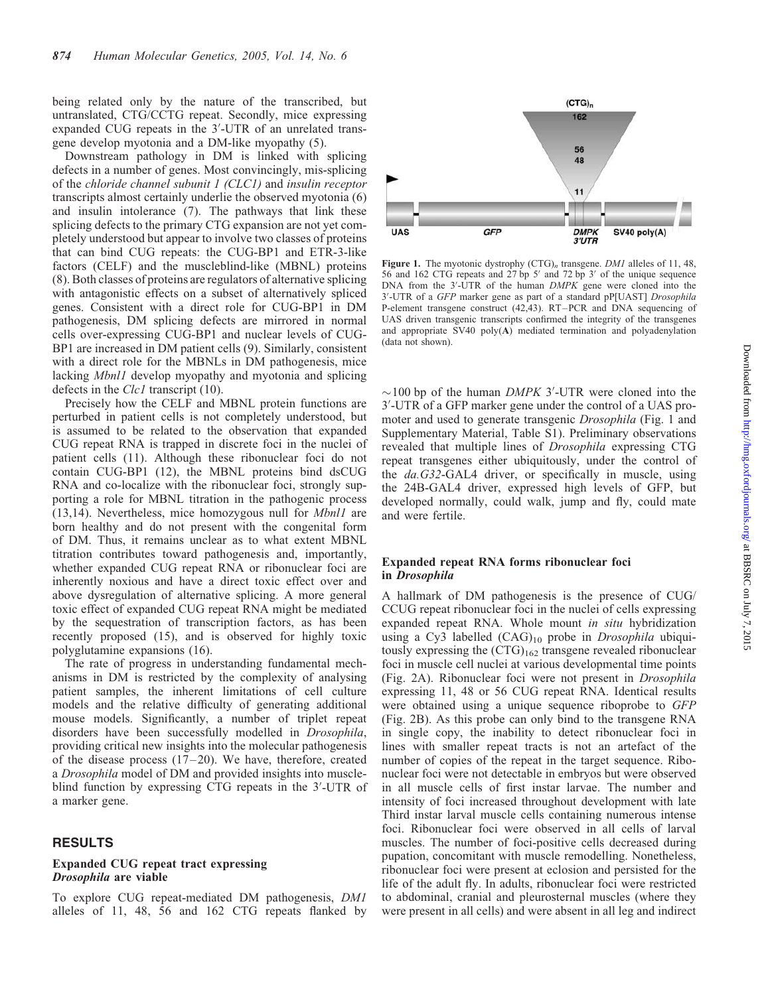being related only by the nature of the transcribed, but untranslated, CTG/CCTG repeat. Secondly, mice expressing expanded CUG repeats in the 3'-UTR of an unrelated transgene develop myotonia and a DM-like myopathy (5).

Downstream pathology in DM is linked with splicing defects in a number of genes. Most convincingly, mis-splicing of the chloride channel subunit 1 (CLC1) and insulin receptor transcripts almost certainly underlie the observed myotonia (6) and insulin intolerance (7). The pathways that link these splicing defects to the primary CTG expansion are not yet completely understood but appear to involve two classes of proteins that can bind CUG repeats: the CUG-BP1 and ETR-3-like factors (CELF) and the muscleblind-like (MBNL) proteins (8). Both classes of proteins are regulators of alternative splicing with antagonistic effects on a subset of alternatively spliced genes. Consistent with a direct role for CUG-BP1 in DM pathogenesis, DM splicing defects are mirrored in normal cells over-expressing CUG-BP1 and nuclear levels of CUG-BP1 are increased in DM patient cells (9). Similarly, consistent with a direct role for the MBNLs in DM pathogenesis, mice lacking Mbnl1 develop myopathy and myotonia and splicing defects in the  $Clc1$  transcript (10).

Precisely how the CELF and MBNL protein functions are perturbed in patient cells is not completely understood, but is assumed to be related to the observation that expanded CUG repeat RNA is trapped in discrete foci in the nuclei of patient cells (11). Although these ribonuclear foci do not contain CUG-BP1 (12), the MBNL proteins bind dsCUG RNA and co-localize with the ribonuclear foci, strongly supporting a role for MBNL titration in the pathogenic process (13,14). Nevertheless, mice homozygous null for Mbnl1 are born healthy and do not present with the congenital form of DM. Thus, it remains unclear as to what extent MBNL titration contributes toward pathogenesis and, importantly, whether expanded CUG repeat RNA or ribonuclear foci are inherently noxious and have a direct toxic effect over and above dysregulation of alternative splicing. A more general toxic effect of expanded CUG repeat RNA might be mediated by the sequestration of transcription factors, as has been recently proposed (15), and is observed for highly toxic polyglutamine expansions (16).

The rate of progress in understanding fundamental mechanisms in DM is restricted by the complexity of analysing patient samples, the inherent limitations of cell culture models and the relative difficulty of generating additional mouse models. Significantly, a number of triplet repeat disorders have been successfully modelled in Drosophila, providing critical new insights into the molecular pathogenesis of the disease process  $(17-20)$ . We have, therefore, created a Drosophila model of DM and provided insights into muscleblind function by expressing CTG repeats in the 3'-UTR of a marker gene.

## RESULTS

## Expanded CUG repeat tract expressing Drosophila are viable

To explore CUG repeat-mediated DM pathogenesis, DM1 alleles of 11, 48, 56 and 162 CTG repeats flanked by



Figure 1. The myotonic dystrophy  $(CTG)<sub>n</sub>$  transgene. DM1 alleles of 11, 48, 56 and 162 CTG repeats and 27 bp  $5'$  and 72 bp  $3'$  of the unique sequence DNA from the 3'-UTR of the human DMPK gene were cloned into the 3'-UTR of a GFP marker gene as part of a standard pP[UAST] Drosophila P-element transgene construct (42,43). RT–PCR and DNA sequencing of UAS driven transgenic transcripts confirmed the integrity of the transgenes and appropriate SV40 poly(A) mediated termination and polyadenylation (data not shown).

 $\sim$ 100 bp of the human DMPK 3'-UTR were cloned into the 3'-UTR of a GFP marker gene under the control of a UAS promoter and used to generate transgenic Drosophila (Fig. 1 and Supplementary Material, Table S1). Preliminary observations revealed that multiple lines of Drosophila expressing CTG repeat transgenes either ubiquitously, under the control of the *da.G32-GAL4* driver, or specifically in muscle, using the 24B-GAL4 driver, expressed high levels of GFP, but developed normally, could walk, jump and fly, could mate and were fertile.

# Expanded repeat RNA forms ribonuclear foci in Drosophila

A hallmark of DM pathogenesis is the presence of CUG/ CCUG repeat ribonuclear foci in the nuclei of cells expressing expanded repeat RNA. Whole mount in situ hybridization using a Cy3 labelled  $(CAG)_{10}$  probe in *Drosophila* ubiquitously expressing the  $(CTG)_{162}$  transgene revealed ribonuclear foci in muscle cell nuclei at various developmental time points (Fig. 2A). Ribonuclear foci were not present in Drosophila expressing 11, 48 or 56 CUG repeat RNA. Identical results were obtained using a unique sequence riboprobe to GFP (Fig. 2B). As this probe can only bind to the transgene RNA in single copy, the inability to detect ribonuclear foci in lines with smaller repeat tracts is not an artefact of the number of copies of the repeat in the target sequence. Ribonuclear foci were not detectable in embryos but were observed in all muscle cells of first instar larvae. The number and intensity of foci increased throughout development with late Third instar larval muscle cells containing numerous intense foci. Ribonuclear foci were observed in all cells of larval muscles. The number of foci-positive cells decreased during pupation, concomitant with muscle remodelling. Nonetheless, ribonuclear foci were present at eclosion and persisted for the life of the adult fly. In adults, ribonuclear foci were restricted to abdominal, cranial and pleurosternal muscles (where they were present in all cells) and were absent in all leg and indirect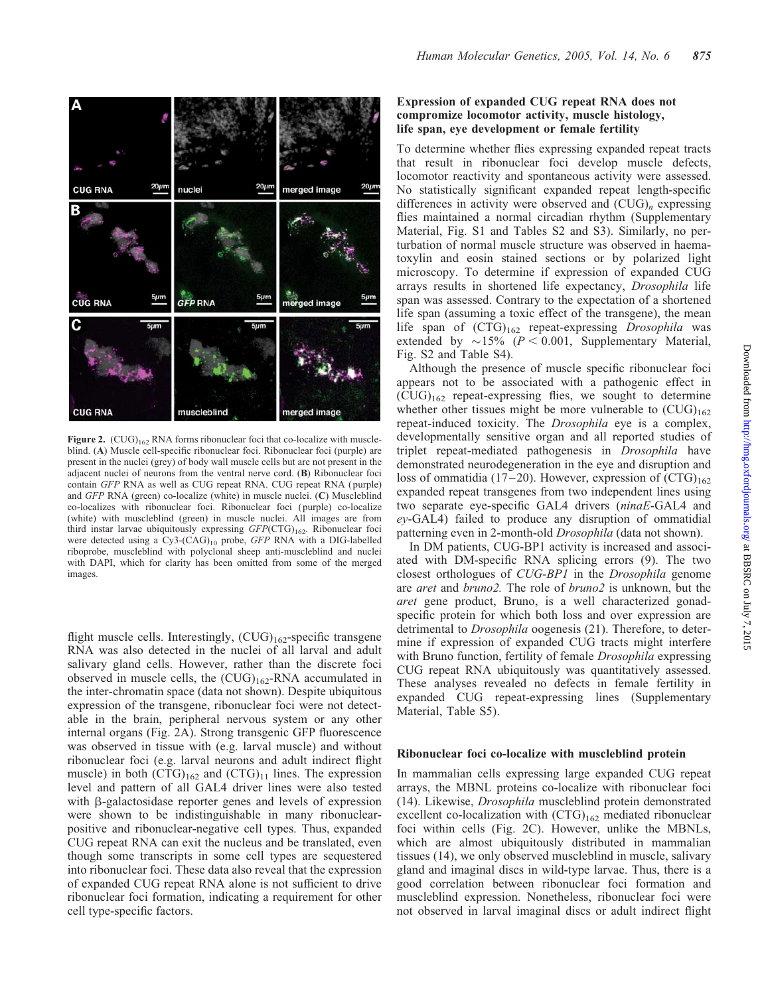

Figure 2.  $(CUG)_{162}$  RNA forms ribonuclear foci that co-localize with muscleblind. (A) Muscle cell-specific ribonuclear foci. Ribonuclear foci (purple) are present in the nuclei (grey) of body wall muscle cells but are not present in the adjacent nuclei of neurons from the ventral nerve cord. (B) Ribonuclear foci contain GFP RNA as well as CUG repeat RNA. CUG repeat RNA ( purple) and GFP RNA (green) co-localize (white) in muscle nuclei. (C) Muscleblind co-localizes with ribonuclear foci. Ribonuclear foci ( purple) co-localize (white) with muscleblind (green) in muscle nuclei. All images are from third instar larvae ubiquitously expressing  $GFP(CTG)_{162}$ . Ribonuclear foci were detected using a Cy3-(CAG)<sub>10</sub> probe, GFP RNA with a DIG-labelled riboprobe, muscleblind with polyclonal sheep anti-muscleblind and nuclei with DAPI, which for clarity has been omitted from some of the merged images.

flight muscle cells. Interestingly,  $(CUG)_{162}$ -specific transgene RNA was also detected in the nuclei of all larval and adult salivary gland cells. However, rather than the discrete foci observed in muscle cells, the  $(CUG)_{162}$ -RNA accumulated in the inter-chromatin space (data not shown). Despite ubiquitous expression of the transgene, ribonuclear foci were not detectable in the brain, peripheral nervous system or any other internal organs (Fig. 2A). Strong transgenic GFP fluorescence was observed in tissue with (e.g. larval muscle) and without ribonuclear foci (e.g. larval neurons and adult indirect flight muscle) in both  $(CTG)_{162}$  and  $(CTG)_{11}$  lines. The expression level and pattern of all GAL4 driver lines were also tested with  $\beta$ -galactosidase reporter genes and levels of expression were shown to be indistinguishable in many ribonuclearpositive and ribonuclear-negative cell types. Thus, expanded CUG repeat RNA can exit the nucleus and be translated, even though some transcripts in some cell types are sequestered into ribonuclear foci. These data also reveal that the expression of expanded CUG repeat RNA alone is not sufficient to drive ribonuclear foci formation, indicating a requirement for other cell type-specific factors.

# Expression of expanded CUG repeat RNA does not compromize locomotor activity, muscle histology, life span, eye development or female fertility

To determine whether flies expressing expanded repeat tracts that result in ribonuclear foci develop muscle defects, locomotor reactivity and spontaneous activity were assessed. No statistically significant expanded repeat length-specific differences in activity were observed and  $(CUG)_n$  expressing flies maintained a normal circadian rhythm (Supplementary Material, Fig. S1 and Tables S2 and S3). Similarly, no perturbation of normal muscle structure was observed in haematoxylin and eosin stained sections or by polarized light microscopy. To determine if expression of expanded CUG arrays results in shortened life expectancy, Drosophila life span was assessed. Contrary to the expectation of a shortened life span (assuming a toxic effect of the transgene), the mean life span of  $(CTG)_{162}$  repeat-expressing *Drosophila* was extended by  $\sim$ 15% ( $P < 0.001$ , Supplementary Material, Fig. S2 and Table S4).

Although the presence of muscle specific ribonuclear foci appears not to be associated with a pathogenic effect in  $(CUG)_{162}$  repeat-expressing flies, we sought to determine whether other tissues might be more vulnerable to  $(CUG)_{162}$ repeat-induced toxicity. The Drosophila eye is a complex, developmentally sensitive organ and all reported studies of triplet repeat-mediated pathogenesis in Drosophila have demonstrated neurodegeneration in the eye and disruption and loss of ommatidia (17–20). However, expression of  $(CTG)_{162}$ expanded repeat transgenes from two independent lines using two separate eye-specific GAL4 drivers (ninaE-GAL4 and ey-GAL4) failed to produce any disruption of ommatidial patterning even in 2-month-old Drosophila (data not shown).

In DM patients, CUG-BP1 activity is increased and associated with DM-specific RNA splicing errors (9). The two closest orthologues of CUG-BP1 in the Drosophila genome are aret and bruno2. The role of bruno2 is unknown, but the aret gene product, Bruno, is a well characterized gonadspecific protein for which both loss and over expression are detrimental to *Drosophila* oogenesis (21). Therefore, to determine if expression of expanded CUG tracts might interfere with Bruno function, fertility of female *Drosophila* expressing CUG repeat RNA ubiquitously was quantitatively assessed. These analyses revealed no defects in female fertility in expanded CUG repeat-expressing lines (Supplementary Material, Table S5).

#### Ribonuclear foci co-localize with muscleblind protein

In mammalian cells expressing large expanded CUG repeat arrays, the MBNL proteins co-localize with ribonuclear foci (14). Likewise, Drosophila muscleblind protein demonstrated excellent co-localization with  $(CTG)_{162}$  mediated ribonuclear foci within cells (Fig. 2C). However, unlike the MBNLs, which are almost ubiquitously distributed in mammalian tissues (14), we only observed muscleblind in muscle, salivary gland and imaginal discs in wild-type larvae. Thus, there is a good correlation between ribonuclear foci formation and muscleblind expression. Nonetheless, ribonuclear foci were not observed in larval imaginal discs or adult indirect flight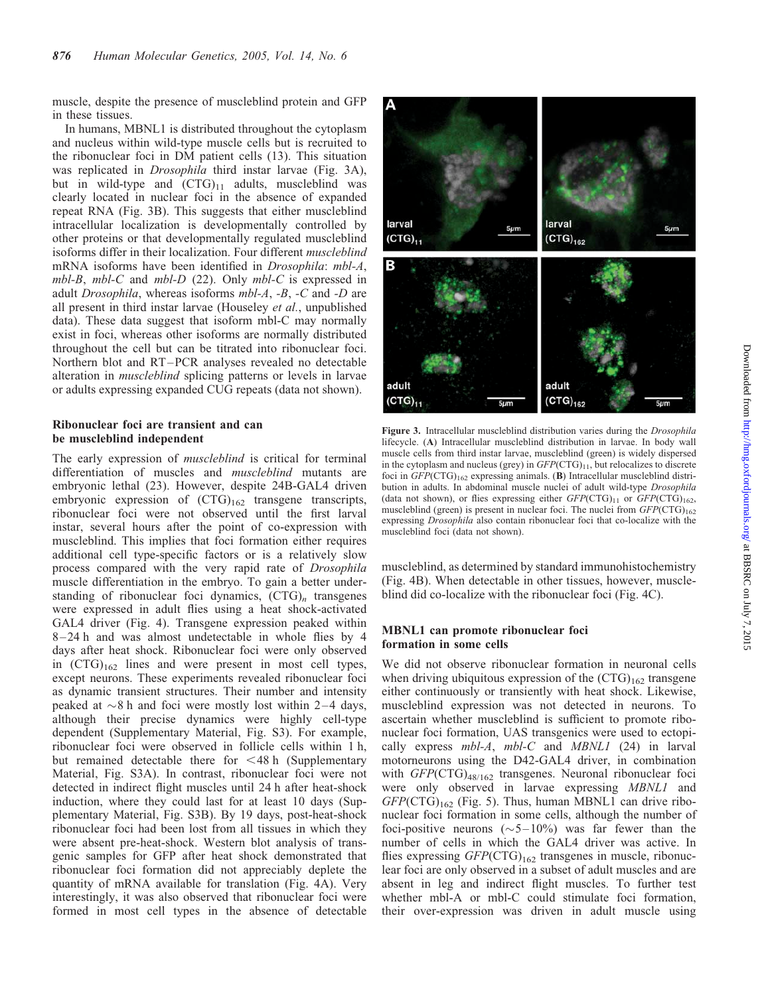muscle, despite the presence of muscleblind protein and GFP in these tissues.

In humans, MBNL1 is distributed throughout the cytoplasm and nucleus within wild-type muscle cells but is recruited to the ribonuclear foci in DM patient cells (13). This situation was replicated in Drosophila third instar larvae (Fig. 3A), but in wild-type and  $(CTG)_{11}$  adults, muscleblind was clearly located in nuclear foci in the absence of expanded repeat RNA (Fig. 3B). This suggests that either muscleblind intracellular localization is developmentally controlled by other proteins or that developmentally regulated muscleblind isoforms differ in their localization. Four different muscleblind mRNA isoforms have been identified in Drosophila: mbl-A, mbl-B, mbl-C and mbl-D (22). Only mbl-C is expressed in adult Drosophila, whereas isoforms mbl-A, -B, -C and -D are all present in third instar larvae (Houseley et al., unpublished data). These data suggest that isoform mbl-C may normally exist in foci, whereas other isoforms are normally distributed throughout the cell but can be titrated into ribonuclear foci. Northern blot and RT –PCR analyses revealed no detectable alteration in muscleblind splicing patterns or levels in larvae or adults expressing expanded CUG repeats (data not shown).

## Ribonuclear foci are transient and can be muscleblind independent

The early expression of muscleblind is critical for terminal differentiation of muscles and *muscleblind* mutants are embryonic lethal (23). However, despite 24B-GAL4 driven embryonic expression of  $(CTG)_{162}$  transgene transcripts, ribonuclear foci were not observed until the first larval instar, several hours after the point of co-expression with muscleblind. This implies that foci formation either requires additional cell type-specific factors or is a relatively slow process compared with the very rapid rate of Drosophila muscle differentiation in the embryo. To gain a better understanding of ribonuclear foci dynamics,  $(CTG)<sub>n</sub>$  transgenes were expressed in adult flies using a heat shock-activated GAL4 driver (Fig. 4). Transgene expression peaked within 8 –24 h and was almost undetectable in whole flies by 4 days after heat shock. Ribonuclear foci were only observed in  $(CTG)_{162}$  lines and were present in most cell types, except neurons. These experiments revealed ribonuclear foci as dynamic transient structures. Their number and intensity peaked at  $\sim$ 8 h and foci were mostly lost within 2–4 days, although their precise dynamics were highly cell-type dependent (Supplementary Material, Fig. S3). For example, ribonuclear foci were observed in follicle cells within 1 h, but remained detectable there for  $\leq$  48 h (Supplementary Material, Fig. S3A). In contrast, ribonuclear foci were not detected in indirect flight muscles until 24 h after heat-shock induction, where they could last for at least 10 days (Supplementary Material, Fig. S3B). By 19 days, post-heat-shock ribonuclear foci had been lost from all tissues in which they were absent pre-heat-shock. Western blot analysis of transgenic samples for GFP after heat shock demonstrated that ribonuclear foci formation did not appreciably deplete the quantity of mRNA available for translation (Fig. 4A). Very interestingly, it was also observed that ribonuclear foci were formed in most cell types in the absence of detectable



Figure 3. Intracellular muscleblind distribution varies during the *Drosophila* lifecycle. (A) Intracellular muscleblind distribution in larvae. In body wall muscle cells from third instar larvae, muscleblind (green) is widely dispersed in the cytoplasm and nucleus (grey) in  $GFP(CTG)_{11}$ , but relocalizes to discrete foci in  $GFP(\text{CTG})_{162}$  expressing animals. (B) Intracellular muscleblind distribution in adults. In abdominal muscle nuclei of adult wild-type Drosophila (data not shown), or flies expressing either  $GFP(CTG)_{11}$  or  $GFP(CTG)_{162}$ , muscleblind (green) is present in nuclear foci. The nuclei from  $GFP(CTG)_{162}$ expressing Drosophila also contain ribonuclear foci that co-localize with the muscleblind foci (data not shown).

muscleblind, as determined by standard immunohistochemistry (Fig. 4B). When detectable in other tissues, however, muscleblind did co-localize with the ribonuclear foci (Fig. 4C).

# MBNL1 can promote ribonuclear foci formation in some cells

We did not observe ribonuclear formation in neuronal cells when driving ubiquitous expression of the  $(CTG)_{162}$  transgene either continuously or transiently with heat shock. Likewise, muscleblind expression was not detected in neurons. To ascertain whether muscleblind is sufficient to promote ribonuclear foci formation, UAS transgenics were used to ectopically express  $mbl-A$ ,  $mbl-C$  and  $MBNLI$  (24) in larval motorneurons using the D42-GAL4 driver, in combination with GFP(CTG)<sub>48/162</sub> transgenes. Neuronal ribonuclear foci were only observed in larvae expressing MBNL1 and  $GFP(CTG)_{162}$  (Fig. 5). Thus, human MBNL1 can drive ribonuclear foci formation in some cells, although the number of foci-positive neurons  $({\sim}5{-}10\%)$  was far fewer than the number of cells in which the GAL4 driver was active. In flies expressing  $GFP(\text{CTG})_{162}$  transgenes in muscle, ribonuclear foci are only observed in a subset of adult muscles and are absent in leg and indirect flight muscles. To further test whether mbl-A or mbl-C could stimulate foci formation, their over-expression was driven in adult muscle using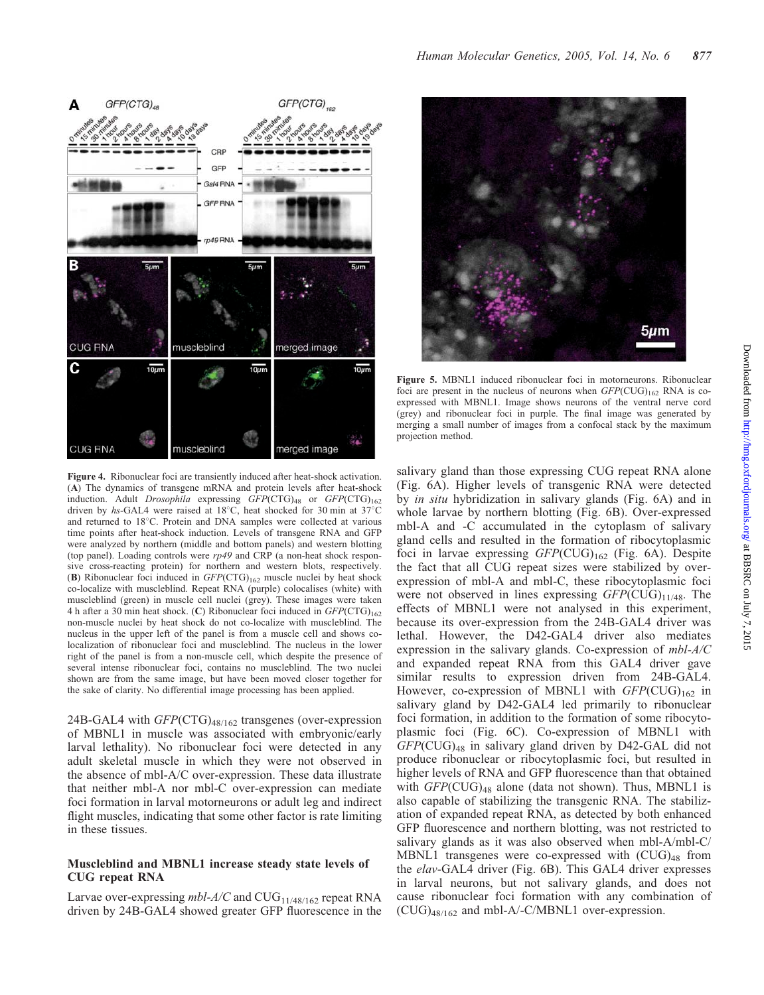

Figure 4. Ribonuclear foci are transiently induced after heat-shock activation. (A) The dynamics of transgene mRNA and protein levels after heat-shock induction. Adult Drosophila expressing GFP(CTG)<sub>48</sub> or GFP(CTG)<sub>162</sub> driven by hs-GAL4 were raised at  $18^{\circ}$ C, heat shocked for 30 min at  $37^{\circ}$ C and returned to 18°C. Protein and DNA samples were collected at various time points after heat-shock induction. Levels of transgene RNA and GFP were analyzed by northern (middle and bottom panels) and western blotting (top panel). Loading controls were  $rp49$  and CRP (a non-heat shock responsive cross-reacting protein) for northern and western blots, respectively. (B) Ribonuclear foci induced in  $GFP(CTG)_{162}$  muscle nuclei by heat shock co-localize with muscleblind. Repeat RNA (purple) colocalises (white) with muscleblind (green) in muscle cell nuclei (grey). These images were taken 4 h after a 30 min heat shock. (C) Ribonuclear foci induced in  $GFP(CTG)_{162}$ non-muscle nuclei by heat shock do not co-localize with muscleblind. The nucleus in the upper left of the panel is from a muscle cell and shows colocalization of ribonuclear foci and muscleblind. The nucleus in the lower right of the panel is from a non-muscle cell, which despite the presence of several intense ribonuclear foci, contains no muscleblind. The two nuclei shown are from the same image, but have been moved closer together for the sake of clarity. No differential image processing has been applied.

24B-GAL4 with  $GFP(CTG)_{48/162}$  transgenes (over-expression of MBNL1 in muscle was associated with embryonic/early larval lethality). No ribonuclear foci were detected in any adult skeletal muscle in which they were not observed in the absence of mbl-A/C over-expression. These data illustrate that neither mbl-A nor mbl-C over-expression can mediate foci formation in larval motorneurons or adult leg and indirect flight muscles, indicating that some other factor is rate limiting in these tissues.

## Muscleblind and MBNL1 increase steady state levels of CUG repeat RNA

Larvae over-expressing  $mbl$ -A/C and CUG<sub>11/48/162</sub> repeat RNA driven by 24B-GAL4 showed greater GFP fluorescence in the



Figure 5. MBNL1 induced ribonuclear foci in motorneurons. Ribonuclear foci are present in the nucleus of neurons when  $GFP$ (CUG)<sub>162</sub> RNA is coexpressed with MBNL1. Image shows neurons of the ventral nerve cord (grey) and ribonuclear foci in purple. The final image was generated by merging a small number of images from a confocal stack by the maximum projection method.

salivary gland than those expressing CUG repeat RNA alone (Fig. 6A). Higher levels of transgenic RNA were detected by in situ hybridization in salivary glands (Fig. 6A) and in whole larvae by northern blotting (Fig. 6B). Over-expressed mbl-A and -C accumulated in the cytoplasm of salivary gland cells and resulted in the formation of ribocytoplasmic foci in larvae expressing  $GFP(CUG)_{162}$  (Fig. 6A). Despite the fact that all CUG repeat sizes were stabilized by overexpression of mbl-A and mbl-C, these ribocytoplasmic foci were not observed in lines expressing  $GFP(CUG)_{11/48}$ . The effects of MBNL1 were not analysed in this experiment, because its over-expression from the 24B-GAL4 driver was lethal. However, the D42-GAL4 driver also mediates expression in the salivary glands. Co-expression of mbl-A/C and expanded repeat RNA from this GAL4 driver gave similar results to expression driven from 24B-GAL4. However, co-expression of MBNL1 with  $GFP(CUG)_{162}$  in salivary gland by D42-GAL4 led primarily to ribonuclear foci formation, in addition to the formation of some ribocytoplasmic foci (Fig. 6C). Co-expression of MBNL1 with  $GFP$ (CUG)<sub>48</sub> in salivary gland driven by D42-GAL did not produce ribonuclear or ribocytoplasmic foci, but resulted in higher levels of RNA and GFP fluorescence than that obtained with  $GFP$ (CUG)<sub>48</sub> alone (data not shown). Thus, MBNL1 is also capable of stabilizing the transgenic RNA. The stabilization of expanded repeat RNA, as detected by both enhanced GFP fluorescence and northern blotting, was not restricted to salivary glands as it was also observed when mbl-A/mbl-C/ MBNL1 transgenes were co-expressed with  $(CUG)_{48}$  from the *elav*-GAL4 driver (Fig. 6B). This GAL4 driver expresses in larval neurons, but not salivary glands, and does not cause ribonuclear foci formation with any combination of  $(CUG)_{48/162}$  and mbl-A/-C/MBNL1 over-expression.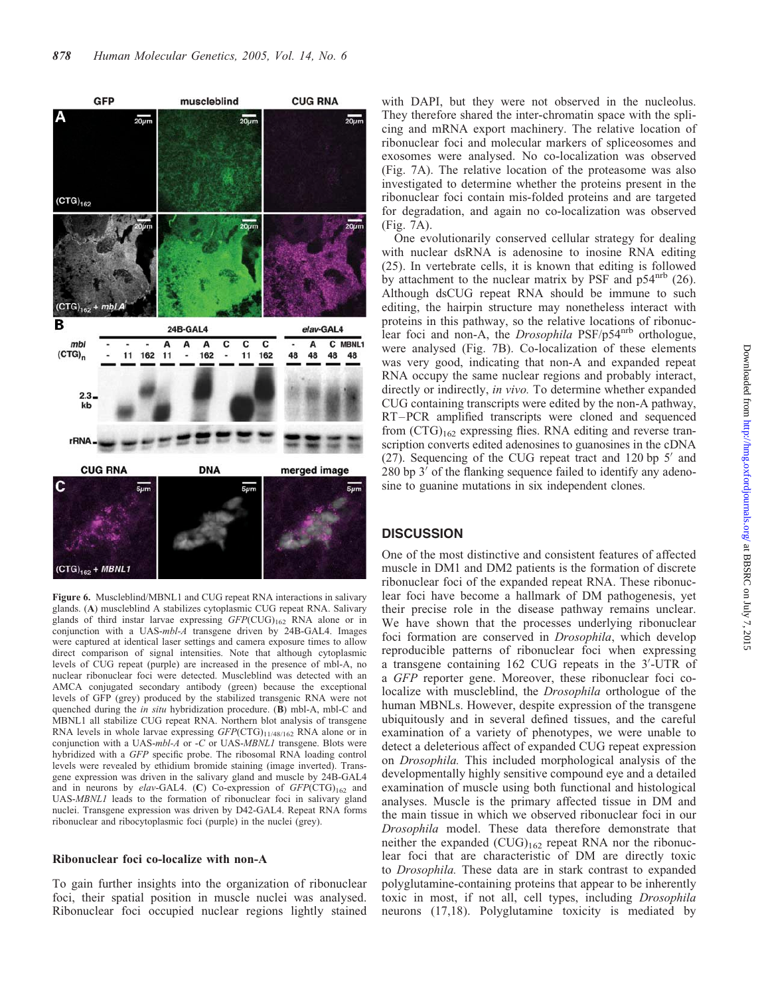

Figure 6. Muscleblind/MBNL1 and CUG repeat RNA interactions in salivary glands. (A) muscleblind A stabilizes cytoplasmic CUG repeat RNA. Salivary glands of third instar larvae expressing  $GFP(CUG)_{162}$  RNA alone or in conjunction with a UAS-mbl-A transgene driven by 24B-GAL4. Images were captured at identical laser settings and camera exposure times to allow direct comparison of signal intensities. Note that although cytoplasmic levels of CUG repeat (purple) are increased in the presence of mbl-A, no nuclear ribonuclear foci were detected. Muscleblind was detected with an AMCA conjugated secondary antibody (green) because the exceptional levels of GFP (grey) produced by the stabilized transgenic RNA were not quenched during the *in situ* hybridization procedure. (B) mbl-A, mbl-C and MBNL1 all stabilize CUG repeat RNA. Northern blot analysis of transgene RNA levels in whole larvae expressing  $GFP(CTG)_{11/48/162}$  RNA alone or in conjunction with a UAS-mbl-A or -C or UAS-MBNL1 transgene. Blots were hybridized with a GFP specific probe. The ribosomal RNA loading control levels were revealed by ethidium bromide staining (image inverted). Transgene expression was driven in the salivary gland and muscle by 24B-GAL4 and in neurons by elav-GAL4. (C) Co-expression of  $GFP(CTG)_{162}$  and UAS-MBNL1 leads to the formation of ribonuclear foci in salivary gland nuclei. Transgene expression was driven by D42-GAL4. Repeat RNA forms ribonuclear and ribocytoplasmic foci (purple) in the nuclei (grey).

### Ribonuclear foci co-localize with non-A

To gain further insights into the organization of ribonuclear foci, their spatial position in muscle nuclei was analysed. Ribonuclear foci occupied nuclear regions lightly stained

with DAPI, but they were not observed in the nucleolus. They therefore shared the inter-chromatin space with the splicing and mRNA export machinery. The relative location of ribonuclear foci and molecular markers of spliceosomes and exosomes were analysed. No co-localization was observed (Fig. 7A). The relative location of the proteasome was also investigated to determine whether the proteins present in the ribonuclear foci contain mis-folded proteins and are targeted for degradation, and again no co-localization was observed (Fig. 7A).

One evolutionarily conserved cellular strategy for dealing with nuclear dsRNA is adenosine to inosine RNA editing (25). In vertebrate cells, it is known that editing is followed by attachment to the nuclear matrix by PSF and  $p54^{\text{nrb}}$  (26). Although dsCUG repeat RNA should be immune to such editing, the hairpin structure may nonetheless interact with proteins in this pathway, so the relative locations of ribonuclear foci and non-A, the *Drosophila* PSF/p54<sup>nrb</sup> orthologue, were analysed (Fig. 7B). Co-localization of these elements was very good, indicating that non-A and expanded repeat RNA occupy the same nuclear regions and probably interact, directly or indirectly, in vivo. To determine whether expanded CUG containing transcripts were edited by the non-A pathway, RT–PCR amplified transcripts were cloned and sequenced from  $(CTG)_{162}$  expressing flies. RNA editing and reverse transcription converts edited adenosines to guanosines in the cDNA  $(27)$ . Sequencing of the CUG repeat tract and 120 bp 5<sup> $\prime$ </sup> and  $280$  bp  $3'$  of the flanking sequence failed to identify any adenosine to guanine mutations in six independent clones.

# **DISCUSSION**

One of the most distinctive and consistent features of affected muscle in DM1 and DM2 patients is the formation of discrete ribonuclear foci of the expanded repeat RNA. These ribonuclear foci have become a hallmark of DM pathogenesis, yet their precise role in the disease pathway remains unclear. We have shown that the processes underlying ribonuclear foci formation are conserved in Drosophila, which develop reproducible patterns of ribonuclear foci when expressing a transgene containing 162 CUG repeats in the 3'-UTR of a GFP reporter gene. Moreover, these ribonuclear foci colocalize with muscleblind, the Drosophila orthologue of the human MBNLs. However, despite expression of the transgene ubiquitously and in several defined tissues, and the careful examination of a variety of phenotypes, we were unable to detect a deleterious affect of expanded CUG repeat expression on Drosophila. This included morphological analysis of the developmentally highly sensitive compound eye and a detailed examination of muscle using both functional and histological analyses. Muscle is the primary affected tissue in DM and the main tissue in which we observed ribonuclear foci in our Drosophila model. These data therefore demonstrate that neither the expanded  $(CUG)_{162}$  repeat RNA nor the ribonuclear foci that are characteristic of DM are directly toxic to Drosophila. These data are in stark contrast to expanded polyglutamine-containing proteins that appear to be inherently toxic in most, if not all, cell types, including Drosophila neurons (17,18). Polyglutamine toxicity is mediated by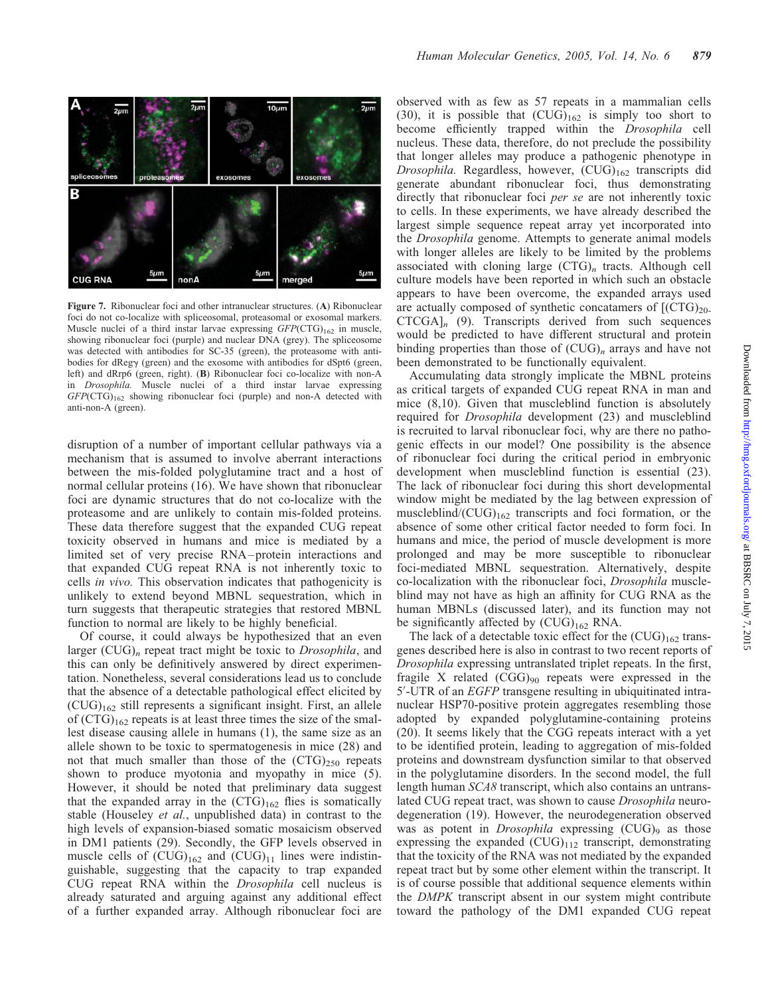

Figure 7. Ribonuclear foci and other intranuclear structures. (A) Ribonuclear foci do not co-localize with spliceosomal, proteasomal or exosomal markers. Muscle nuclei of a third instar larvae expressing  $GFP(CTG)_{162}$  in muscle, showing ribonuclear foci (purple) and nuclear DNA (grey). The spliceosome was detected with antibodies for SC-35 (green), the proteasome with antibodies for dRegy (green) and the exosome with antibodies for dSpt6 (green, left) and dRrp6 (green, right). (B) Ribonuclear foci co-localize with non-A in Drosophila. Muscle nuclei of a third instar larvae expressing  $GFP(CTG)_{162}$  showing ribonuclear foci (purple) and non-A detected with anti-non-A (green).

disruption of a number of important cellular pathways via a mechanism that is assumed to involve aberrant interactions between the mis-folded polyglutamine tract and a host of normal cellular proteins (16). We have shown that ribonuclear foci are dynamic structures that do not co-localize with the proteasome and are unlikely to contain mis-folded proteins. These data therefore suggest that the expanded CUG repeat toxicity observed in humans and mice is mediated by a limited set of very precise RNA – protein interactions and that expanded CUG repeat RNA is not inherently toxic to cells in vivo. This observation indicates that pathogenicity is unlikely to extend beyond MBNL sequestration, which in turn suggests that therapeutic strategies that restored MBNL function to normal are likely to be highly beneficial.

Of course, it could always be hypothesized that an even larger  $(CUG)_n$  repeat tract might be toxic to *Drosophila*, and this can only be definitively answered by direct experimentation. Nonetheless, several considerations lead us to conclude that the absence of a detectable pathological effect elicited by  $(CUG)_{162}$  still represents a significant insight. First, an allele of  $(CTG)_{162}$  repeats is at least three times the size of the smallest disease causing allele in humans (1), the same size as an allele shown to be toxic to spermatogenesis in mice (28) and not that much smaller than those of the  $(CTG)_{250}$  repeats shown to produce myotonia and myopathy in mice (5). However, it should be noted that preliminary data suggest that the expanded array in the  $(CTG)_{162}$  flies is somatically stable (Houseley et al., unpublished data) in contrast to the high levels of expansion-biased somatic mosaicism observed in DM1 patients (29). Secondly, the GFP levels observed in muscle cells of  $(CUG)_{162}$  and  $(CUG)_{11}$  lines were indistinguishable, suggesting that the capacity to trap expanded CUG repeat RNA within the Drosophila cell nucleus is already saturated and arguing against any additional effect of a further expanded array. Although ribonuclear foci are

observed with as few as 57 repeats in a mammalian cells (30), it is possible that  $(CUG)_{162}$  is simply too short to become efficiently trapped within the Drosophila cell nucleus. These data, therefore, do not preclude the possibility that longer alleles may produce a pathogenic phenotype in Drosophila. Regardless, however,  $(CUG)_{162}$  transcripts did generate abundant ribonuclear foci, thus demonstrating directly that ribonuclear foci per se are not inherently toxic to cells. In these experiments, we have already described the largest simple sequence repeat array yet incorporated into the *Drosophila* genome. Attempts to generate animal models with longer alleles are likely to be limited by the problems associated with cloning large  $(CTG)<sub>n</sub>$  tracts. Although cell culture models have been reported in which such an obstacle appears to have been overcome, the expanded arrays used are actually composed of synthetic concatamers of  $[(CTG)<sub>20</sub>]$  $CTCGA<sub>n</sub>$  (9). Transcripts derived from such sequences would be predicted to have different structural and protein binding properties than those of  $(CUG)_n$  arrays and have not been demonstrated to be functionally equivalent.

Accumulating data strongly implicate the MBNL proteins as critical targets of expanded CUG repeat RNA in man and mice (8,10). Given that muscleblind function is absolutely required for *Drosophila* development (23) and muscleblind is recruited to larval ribonuclear foci, why are there no pathogenic effects in our model? One possibility is the absence of ribonuclear foci during the critical period in embryonic development when muscleblind function is essential (23). The lack of ribonuclear foci during this short developmental window might be mediated by the lag between expression of muscleblind/ $(CUG)_{162}$  transcripts and foci formation, or the absence of some other critical factor needed to form foci. In humans and mice, the period of muscle development is more prolonged and may be more susceptible to ribonuclear foci-mediated MBNL sequestration. Alternatively, despite co-localization with the ribonuclear foci, Drosophila muscleblind may not have as high an affinity for CUG RNA as the human MBNLs (discussed later), and its function may not be significantly affected by  $(CUG)_{162}$  RNA.

The lack of a detectable toxic effect for the  $(CUG)_{162}$  transgenes described here is also in contrast to two recent reports of Drosophila expressing untranslated triplet repeats. In the first, fragile X related  $(CGG)_{90}$  repeats were expressed in the 5'-UTR of an EGFP transgene resulting in ubiquitinated intranuclear HSP70-positive protein aggregates resembling those adopted by expanded polyglutamine-containing proteins (20). It seems likely that the CGG repeats interact with a yet to be identified protein, leading to aggregation of mis-folded proteins and downstream dysfunction similar to that observed in the polyglutamine disorders. In the second model, the full length human SCA8 transcript, which also contains an untranslated CUG repeat tract, was shown to cause Drosophila neurodegeneration (19). However, the neurodegeneration observed was as potent in *Drosophila* expressing  $(CUG)_{9}$  as those expressing the expanded  $(CUG)_{112}$  transcript, demonstrating that the toxicity of the RNA was not mediated by the expanded repeat tract but by some other element within the transcript. It is of course possible that additional sequence elements within the DMPK transcript absent in our system might contribute toward the pathology of the DM1 expanded CUG repeat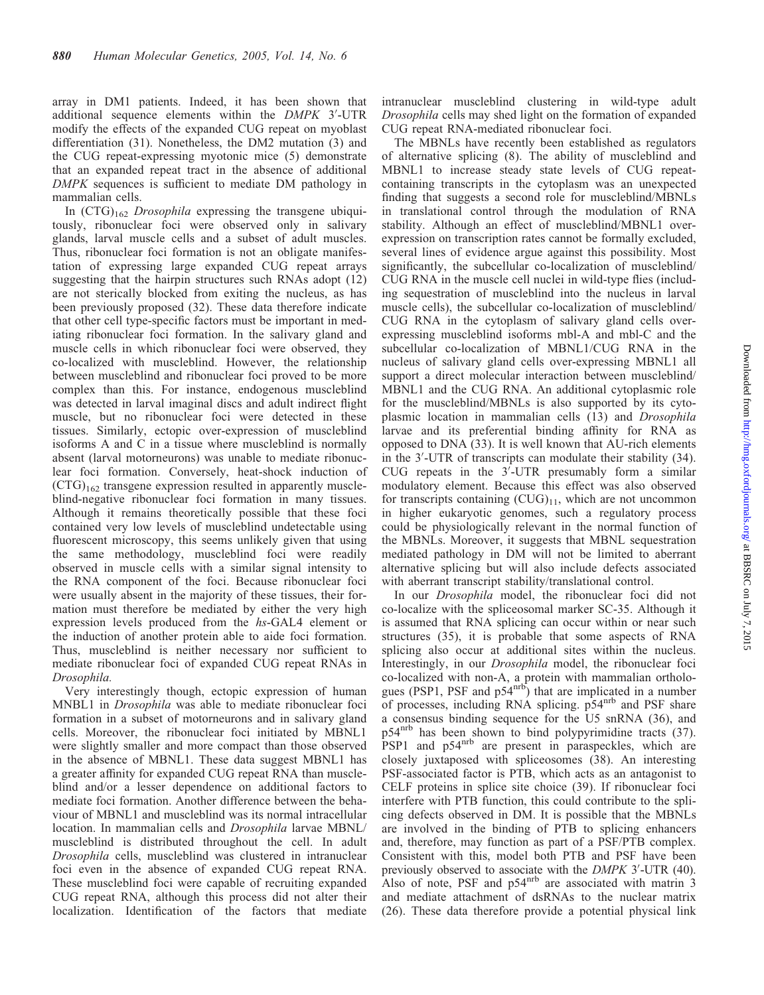array in DM1 patients. Indeed, it has been shown that additional sequence elements within the DMPK 3'-UTR modify the effects of the expanded CUG repeat on myoblast differentiation (31). Nonetheless, the DM2 mutation (3) and the CUG repeat-expressing myotonic mice (5) demonstrate that an expanded repeat tract in the absence of additional DMPK sequences is sufficient to mediate DM pathology in mammalian cells.

In  $(CTG)_{162}$  *Drosophila* expressing the transgene ubiquitously, ribonuclear foci were observed only in salivary glands, larval muscle cells and a subset of adult muscles. Thus, ribonuclear foci formation is not an obligate manifestation of expressing large expanded CUG repeat arrays suggesting that the hairpin structures such RNAs adopt (12) are not sterically blocked from exiting the nucleus, as has been previously proposed (32). These data therefore indicate that other cell type-specific factors must be important in mediating ribonuclear foci formation. In the salivary gland and muscle cells in which ribonuclear foci were observed, they co-localized with muscleblind. However, the relationship between muscleblind and ribonuclear foci proved to be more complex than this. For instance, endogenous muscleblind was detected in larval imaginal discs and adult indirect flight muscle, but no ribonuclear foci were detected in these tissues. Similarly, ectopic over-expression of muscleblind isoforms A and C in a tissue where muscleblind is normally absent (larval motorneurons) was unable to mediate ribonuclear foci formation. Conversely, heat-shock induction of  $(CTG)_{162}$  transgene expression resulted in apparently muscleblind-negative ribonuclear foci formation in many tissues. Although it remains theoretically possible that these foci contained very low levels of muscleblind undetectable using fluorescent microscopy, this seems unlikely given that using the same methodology, muscleblind foci were readily observed in muscle cells with a similar signal intensity to the RNA component of the foci. Because ribonuclear foci were usually absent in the majority of these tissues, their formation must therefore be mediated by either the very high expression levels produced from the hs-GAL4 element or the induction of another protein able to aide foci formation. Thus, muscleblind is neither necessary nor sufficient to mediate ribonuclear foci of expanded CUG repeat RNAs in Drosophila.

Very interestingly though, ectopic expression of human MNBL1 in Drosophila was able to mediate ribonuclear foci formation in a subset of motorneurons and in salivary gland cells. Moreover, the ribonuclear foci initiated by MBNL1 were slightly smaller and more compact than those observed in the absence of MBNL1. These data suggest MBNL1 has a greater affinity for expanded CUG repeat RNA than muscleblind and/or a lesser dependence on additional factors to mediate foci formation. Another difference between the behaviour of MBNL1 and muscleblind was its normal intracellular location. In mammalian cells and Drosophila larvae MBNL/ muscleblind is distributed throughout the cell. In adult Drosophila cells, muscleblind was clustered in intranuclear foci even in the absence of expanded CUG repeat RNA. These muscleblind foci were capable of recruiting expanded CUG repeat RNA, although this process did not alter their localization. Identification of the factors that mediate intranuclear muscleblind clustering in wild-type adult Drosophila cells may shed light on the formation of expanded CUG repeat RNA-mediated ribonuclear foci.

The MBNLs have recently been established as regulators of alternative splicing (8). The ability of muscleblind and MBNL1 to increase steady state levels of CUG repeatcontaining transcripts in the cytoplasm was an unexpected finding that suggests a second role for muscleblind/MBNLs in translational control through the modulation of RNA stability. Although an effect of muscleblind/MBNL1 overexpression on transcription rates cannot be formally excluded, several lines of evidence argue against this possibility. Most significantly, the subcellular co-localization of muscleblind/ CUG RNA in the muscle cell nuclei in wild-type flies (including sequestration of muscleblind into the nucleus in larval muscle cells), the subcellular co-localization of muscleblind/ CUG RNA in the cytoplasm of salivary gland cells overexpressing muscleblind isoforms mbl-A and mbl-C and the subcellular co-localization of MBNL1/CUG RNA in the nucleus of salivary gland cells over-expressing MBNL1 all support a direct molecular interaction between muscleblind/ MBNL1 and the CUG RNA. An additional cytoplasmic role for the muscleblind/MBNLs is also supported by its cytoplasmic location in mammalian cells (13) and Drosophila larvae and its preferential binding affinity for RNA as opposed to DNA (33). It is well known that AU-rich elements in the 3'-UTR of transcripts can modulate their stability (34). CUG repeats in the  $3^7$ -UTR presumably form a similar modulatory element. Because this effect was also observed for transcripts containing  $(CUG)_{11}$ , which are not uncommon in higher eukaryotic genomes, such a regulatory process could be physiologically relevant in the normal function of the MBNLs. Moreover, it suggests that MBNL sequestration mediated pathology in DM will not be limited to aberrant alternative splicing but will also include defects associated with aberrant transcript stability/translational control.

In our Drosophila model, the ribonuclear foci did not co-localize with the spliceosomal marker SC-35. Although it is assumed that RNA splicing can occur within or near such structures (35), it is probable that some aspects of RNA splicing also occur at additional sites within the nucleus. Interestingly, in our Drosophila model, the ribonuclear foci co-localized with non-A, a protein with mammalian orthologues (PSP1, PSF and  $p54^{\text{nrb}}$ ) that are implicated in a number of processes, including RNA splicing. p54<sup>nrb</sup> and PSF share a consensus binding sequence for the U5 snRNA (36), and p54<sup>nrb</sup> has been shown to bind polypyrimidine tracts (37). PSP1 and p54<sup>nrb</sup> are present in paraspeckles, which are closely juxtaposed with spliceosomes (38). An interesting PSF-associated factor is PTB, which acts as an antagonist to CELF proteins in splice site choice (39). If ribonuclear foci interfere with PTB function, this could contribute to the splicing defects observed in DM. It is possible that the MBNLs are involved in the binding of PTB to splicing enhancers and, therefore, may function as part of a PSF/PTB complex. Consistent with this, model both PTB and PSF have been previously observed to associate with the DMPK 3'-UTR (40). Also of note, PSF and  $p54^{\text{nrb}}$  are associated with matrin 3 and mediate attachment of dsRNAs to the nuclear matrix (26). These data therefore provide a potential physical link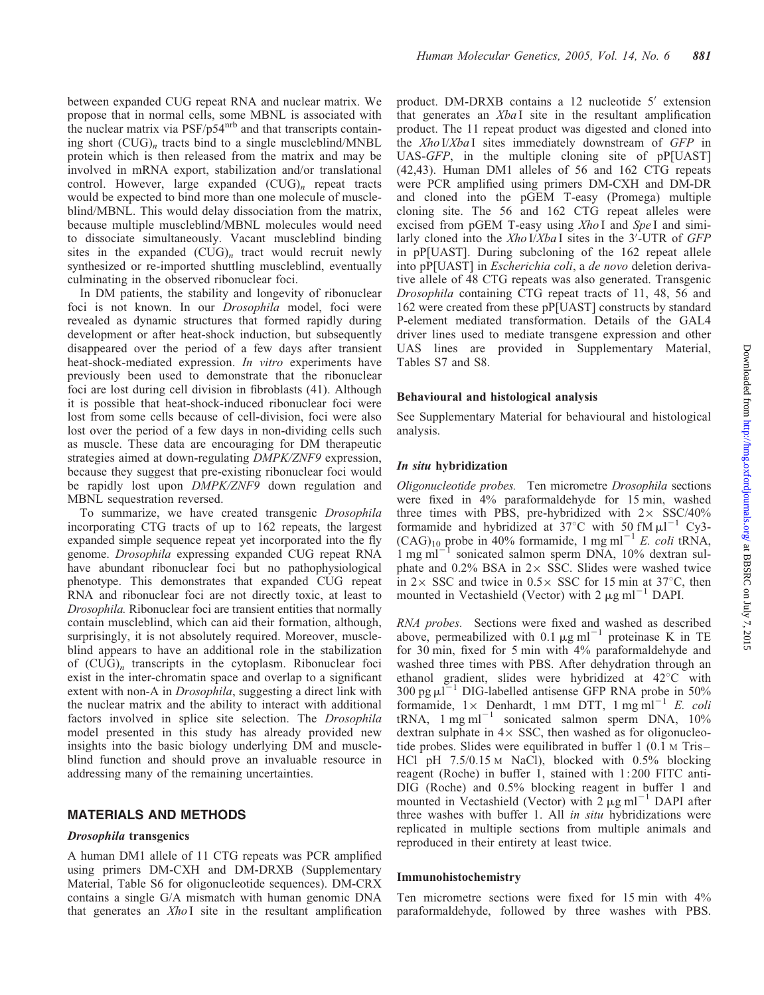between expanded CUG repeat RNA and nuclear matrix. We propose that in normal cells, some MBNL is associated with the nuclear matrix via PSF/p54nrb and that transcripts containing short  $(CUG)_n$  tracts bind to a single muscleblind/MNBL protein which is then released from the matrix and may be involved in mRNA export, stabilization and/or translational control. However, large expanded  $(CUG)_n$  repeat tracts would be expected to bind more than one molecule of muscleblind/MBNL. This would delay dissociation from the matrix, because multiple muscleblind/MBNL molecules would need to dissociate simultaneously. Vacant muscleblind binding sites in the expanded  $(CUG)_n$  tract would recruit newly synthesized or re-imported shuttling muscleblind, eventually culminating in the observed ribonuclear foci.

In DM patients, the stability and longevity of ribonuclear foci is not known. In our Drosophila model, foci were revealed as dynamic structures that formed rapidly during development or after heat-shock induction, but subsequently disappeared over the period of a few days after transient heat-shock-mediated expression. In vitro experiments have previously been used to demonstrate that the ribonuclear foci are lost during cell division in fibroblasts (41). Although it is possible that heat-shock-induced ribonuclear foci were lost from some cells because of cell-division, foci were also lost over the period of a few days in non-dividing cells such as muscle. These data are encouraging for DM therapeutic strategies aimed at down-regulating DMPK/ZNF9 expression, because they suggest that pre-existing ribonuclear foci would be rapidly lost upon *DMPK/ZNF9* down regulation and MBNL sequestration reversed.

To summarize, we have created transgenic Drosophila incorporating CTG tracts of up to 162 repeats, the largest expanded simple sequence repeat yet incorporated into the fly genome. Drosophila expressing expanded CUG repeat RNA have abundant ribonuclear foci but no pathophysiological phenotype. This demonstrates that expanded CUG repeat RNA and ribonuclear foci are not directly toxic, at least to Drosophila. Ribonuclear foci are transient entities that normally contain muscleblind, which can aid their formation, although, surprisingly, it is not absolutely required. Moreover, muscleblind appears to have an additional role in the stabilization of  $(CUG)_n$  transcripts in the cytoplasm. Ribonuclear foci exist in the inter-chromatin space and overlap to a significant extent with non-A in *Drosophila*, suggesting a direct link with the nuclear matrix and the ability to interact with additional factors involved in splice site selection. The *Drosophila* model presented in this study has already provided new insights into the basic biology underlying DM and muscleblind function and should prove an invaluable resource in addressing many of the remaining uncertainties.

# MATERIALS AND METHODS

# Drosophila transgenics

A human DM1 allele of 11 CTG repeats was PCR amplified using primers DM-CXH and DM-DRXB (Supplementary Material, Table S6 for oligonucleotide sequences). DM-CRX contains a single G/A mismatch with human genomic DNA that generates an Xho I site in the resultant amplification

product. DM-DRXB contains a 12 nucleotide  $5'$  extension that generates an Xba<sub>I</sub> site in the resultant amplification product. The 11 repeat product was digested and cloned into the Xho I/Xba I sites immediately downstream of GFP in UAS-GFP, in the multiple cloning site of pP[UAST] (42,43). Human DM1 alleles of 56 and 162 CTG repeats were PCR amplified using primers DM-CXH and DM-DR and cloned into the pGEM T-easy (Promega) multiple cloning site. The 56 and 162 CTG repeat alleles were excised from pGEM T-easy using  $XhoI$  and  $SpeI$  and similarly cloned into the  $Xho$  I/Xba I sites in the 3<sup>'</sup>-UTR of GFP in pP[UAST]. During subcloning of the 162 repeat allele into pP[UAST] in Escherichia coli, a de novo deletion derivative allele of 48 CTG repeats was also generated. Transgenic Drosophila containing CTG repeat tracts of 11, 48, 56 and 162 were created from these pP[UAST] constructs by standard P-element mediated transformation. Details of the GAL4 driver lines used to mediate transgene expression and other UAS lines are provided in Supplementary Material, Tables S7 and S8.

#### Behavioural and histological analysis

See Supplementary Material for behavioural and histological analysis.

## In situ hybridization

Oligonucleotide probes. Ten micrometre Drosophila sections were fixed in 4% paraformaldehyde for 15 min, washed three times with PBS, pre-hybridized with  $2 \times$  SSC/40% formamide and hybridized at  $37^{\circ}$ C with 50 fM  $\mu$ l<sup>-1</sup> Cy3- $(CAG)_{10}$  probe in 40% formamide, 1 mg ml<sup>-1</sup> E. coli tRNA,  $1 \text{ mg ml}^{-1}$  sonicated salmon sperm DNA,  $10\%$  dextran sulphate and 0.2% BSA in  $2 \times$  SSC. Slides were washed twice in  $2 \times$  SSC and twice in  $0.5 \times$  SSC for 15 min at 37°C, then mounted in Vectashield (Vector) with  $2 \mu g$  ml<sup>-1</sup> DAPI.

RNA probes. Sections were fixed and washed as described above, permeabilized with 0.1  $\mu$ g ml<sup>-1</sup> proteinase K in TE for 30 min, fixed for 5 min with 4% paraformaldehyde and washed three times with PBS. After dehydration through an ethanol gradient, slides were hybridized at  $42^{\circ}$ C with 300 pg  $\mu$ I<sup>-1</sup> DIG-labelled antisense GFP RNA probe in 50% formamide,  $1 \times$  Denhardt, 1 mM DTT, 1 mg ml<sup>-1</sup> E. coli tRNA,  $1 \text{ mg ml}^{-1}$  sonicated salmon sperm DNA,  $10\%$ dextran sulphate in  $4 \times$  SSC, then washed as for oligonucleotide probes. Slides were equilibrated in buffer 1 (0.1 M Tris – HCl pH 7.5/0.15 M NaCl), blocked with 0.5% blocking reagent (Roche) in buffer 1, stained with 1: 200 FITC anti-DIG (Roche) and 0.5% blocking reagent in buffer 1 and mounted in Vectashield (Vector) with  $\bar{2} \mu g$  ml<sup>-1</sup> DAPI after three washes with buffer 1. All *in situ* hybridizations were replicated in multiple sections from multiple animals and reproduced in their entirety at least twice.

#### Immunohistochemistry

Ten micrometre sections were fixed for 15 min with 4% paraformaldehyde, followed by three washes with PBS.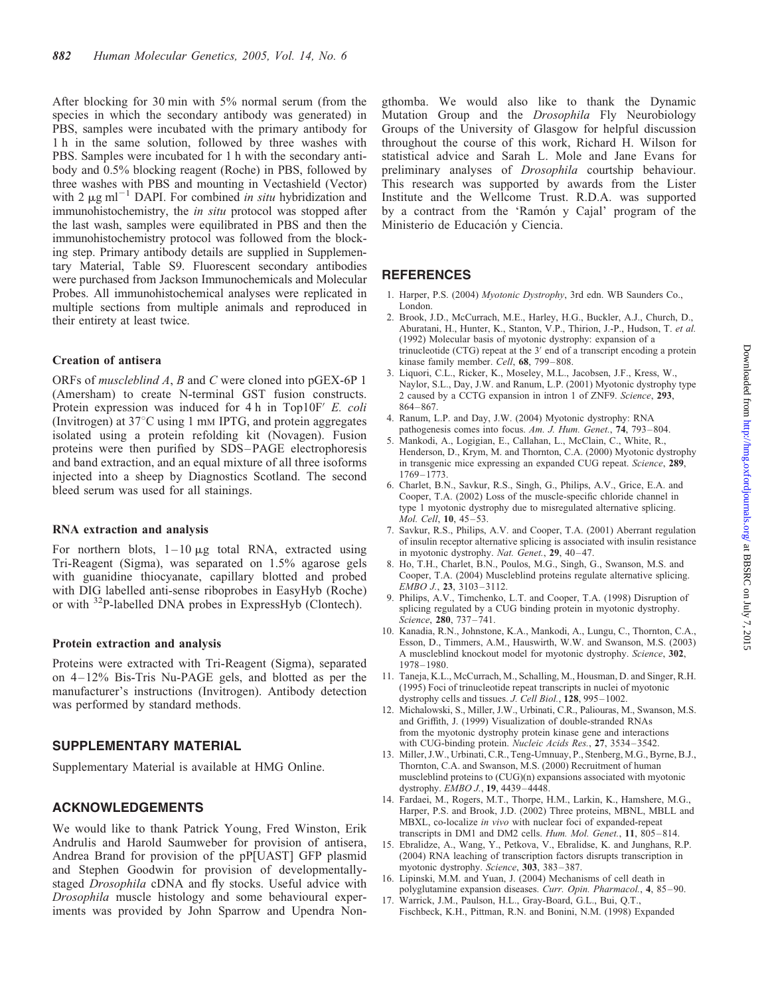After blocking for 30 min with 5% normal serum (from the species in which the secondary antibody was generated) in PBS, samples were incubated with the primary antibody for 1 h in the same solution, followed by three washes with PBS. Samples were incubated for 1 h with the secondary antibody and 0.5% blocking reagent (Roche) in PBS, followed by three washes with PBS and mounting in Vectashield (Vector) with 2  $\mu$ g ml<sup>-1</sup> DAPI. For combined in situ hybridization and immunohistochemistry, the *in situ* protocol was stopped after the last wash, samples were equilibrated in PBS and then the immunohistochemistry protocol was followed from the blocking step. Primary antibody details are supplied in Supplementary Material, Table S9. Fluorescent secondary antibodies were purchased from Jackson Immunochemicals and Molecular Probes. All immunohistochemical analyses were replicated in multiple sections from multiple animals and reproduced in their entirety at least twice.

## Creation of antisera

ORFs of muscleblind A, B and C were cloned into pGEX-6P 1 (Amersham) to create N-terminal GST fusion constructs. Protein expression was induced for  $4 h$  in Top10F' E. coli (Invitrogen) at  $37^{\circ}$ C using 1 mM IPTG, and protein aggregates isolated using a protein refolding kit (Novagen). Fusion proteins were then purified by SDS –PAGE electrophoresis and band extraction, and an equal mixture of all three isoforms injected into a sheep by Diagnostics Scotland. The second bleed serum was used for all stainings.

#### RNA extraction and analysis

For northern blots,  $1-10 \mu g$  total RNA, extracted using Tri-Reagent (Sigma), was separated on 1.5% agarose gels with guanidine thiocyanate, capillary blotted and probed with DIG labelled anti-sense riboprobes in EasyHyb (Roche) or with 32P-labelled DNA probes in ExpressHyb (Clontech).

#### Protein extraction and analysis

Proteins were extracted with Tri-Reagent (Sigma), separated on 4 –12% Bis-Tris Nu-PAGE gels, and blotted as per the manufacturer's instructions (Invitrogen). Antibody detection was performed by standard methods.

## SUPPLEMENTARY MATERIAL

Supplementary Material is available at HMG Online.

# ACKNOWLEDGEMENTS

We would like to thank Patrick Young, Fred Winston, Erik Andrulis and Harold Saumweber for provision of antisera, Andrea Brand for provision of the pP[UAST] GFP plasmid and Stephen Goodwin for provision of developmentallystaged Drosophila cDNA and fly stocks. Useful advice with Drosophila muscle histology and some behavioural experiments was provided by John Sparrow and Upendra Nongthomba. We would also like to thank the Dynamic Mutation Group and the Drosophila Fly Neurobiology Groups of the University of Glasgow for helpful discussion throughout the course of this work, Richard H. Wilson for statistical advice and Sarah L. Mole and Jane Evans for preliminary analyses of Drosophila courtship behaviour. This research was supported by awards from the Lister Institute and the Wellcome Trust. R.D.A. was supported by a contract from the 'Ramon y Cajal' program of the Ministerio de Educación y Ciencia.

# **REFERENCES**

- 1. Harper, P.S. (2004) Myotonic Dystrophy, 3rd edn. WB Saunders Co., London.
- 2. Brook, J.D., McCurrach, M.E., Harley, H.G., Buckler, A.J., Church, D., Aburatani, H., Hunter, K., Stanton, V.P., Thirion, J.-P., Hudson, T. et al. (1992) Molecular basis of myotonic dystrophy: expansion of a trinucleotide (CTG) repeat at the  $3'$  end of a transcript encoding a protein kinase family member. Cell, 68, 799–808.
- 3. Liquori, C.L., Ricker, K., Moseley, M.L., Jacobsen, J.F., Kress, W., Naylor, S.L., Day, J.W. and Ranum, L.P. (2001) Myotonic dystrophy type 2 caused by a CCTG expansion in intron 1 of ZNF9. Science, 293, 864–867.
- 4. Ranum, L.P. and Day, J.W. (2004) Myotonic dystrophy: RNA pathogenesis comes into focus. Am. J. Hum. Genet., 74, 793–804.
- 5. Mankodi, A., Logigian, E., Callahan, L., McClain, C., White, R., Henderson, D., Krym, M. and Thornton, C.A. (2000) Myotonic dystrophy in transgenic mice expressing an expanded CUG repeat. Science, 289, 1769–1773.
- 6. Charlet, B.N., Savkur, R.S., Singh, G., Philips, A.V., Grice, E.A. and Cooper, T.A. (2002) Loss of the muscle-specific chloride channel in type 1 myotonic dystrophy due to misregulated alternative splicing. Mol. Cell, 10, 45–53.
- 7. Savkur, R.S., Philips, A.V. and Cooper, T.A. (2001) Aberrant regulation of insulin receptor alternative splicing is associated with insulin resistance in myotonic dystrophy. Nat. Genet., 29, 40-47.
- 8. Ho, T.H., Charlet, B.N., Poulos, M.G., Singh, G., Swanson, M.S. and Cooper, T.A. (2004) Muscleblind proteins regulate alternative splicing. EMBO J., 23, 3103–3112.
- 9. Philips, A.V., Timchenko, L.T. and Cooper, T.A. (1998) Disruption of splicing regulated by a CUG binding protein in myotonic dystrophy. Science, 280, 737-741.
- 10. Kanadia, R.N., Johnstone, K.A., Mankodi, A., Lungu, C., Thornton, C.A., Esson, D., Timmers, A.M., Hauswirth, W.W. and Swanson, M.S. (2003) A muscleblind knockout model for myotonic dystrophy. Science, 302, 1978–1980.
- 11. Taneja, K.L., McCurrach, M., Schalling, M., Housman, D. and Singer, R.H. (1995) Foci of trinucleotide repeat transcripts in nuclei of myotonic dystrophy cells and tissues. J. Cell Biol., 128, 995-1002.
- 12. Michalowski, S., Miller, J.W., Urbinati, C.R., Paliouras, M., Swanson, M.S. and Griffith, J. (1999) Visualization of double-stranded RNAs from the myotonic dystrophy protein kinase gene and interactions with CUG-binding protein. Nucleic Acids Res., 27, 3534–3542.
- 13. Miller, J.W., Urbinati, C.R., Teng-Umnuay, P., Stenberg, M.G., Byrne, B.J., Thornton, C.A. and Swanson, M.S. (2000) Recruitment of human muscleblind proteins to (CUG)(n) expansions associated with myotonic dystrophy. EMBO J., 19, 4439-4448.
- 14. Fardaei, M., Rogers, M.T., Thorpe, H.M., Larkin, K., Hamshere, M.G., Harper, P.S. and Brook, J.D. (2002) Three proteins, MBNL, MBLL and MBXL, co-localize in vivo with nuclear foci of expanded-repeat transcripts in DM1 and DM2 cells. Hum. Mol. Genet., 11, 805–814.
- 15. Ebralidze, A., Wang, Y., Petkova, V., Ebralidse, K. and Junghans, R.P. (2004) RNA leaching of transcription factors disrupts transcription in myotonic dystrophy. Science, 303, 383 –387.
- 16. Lipinski, M.M. and Yuan, J. (2004) Mechanisms of cell death in polyglutamine expansion diseases. Curr. Opin. Pharmacol., 4, 85 –90.
- 17. Warrick, J.M., Paulson, H.L., Gray-Board, G.L., Bui, Q.T., Fischbeck, K.H., Pittman, R.N. and Bonini, N.M. (1998) Expanded